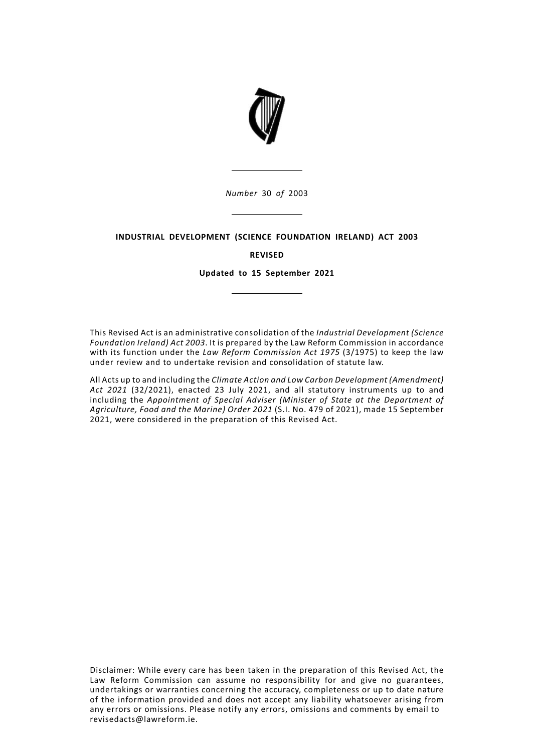

*Number* 30 *of* 2003

# **INDUSTRIAL DEVELOPMENT (SCIENCE FOUNDATION IRELAND) ACT 2003**

# **REVISED**

**Updated to 15 September 2021**

This Revised Act is an administrative consolidation of the *Industrial Development (Science Foundation Ireland) Act 2003*. It is prepared by the Law Reform Commission in accordance with its function under the *Law Reform Commission Act 1975* (3/1975) to keep the law under review and to undertake revision and consolidation of statute law.

All Acts up to and including the *Climate Action and Low Carbon Development (Amendment) Act 2021* (32/2021), enacted 23 July 2021, and all statutory instruments up to and including the *Appointment of Special Adviser (Minister of State at the Department of Agriculture, Food and the Marine) Order 2021* (S.I. No. 479 of 2021), made 15 September 2021, were considered in the preparation of this Revised Act.

Disclaimer: While every care has been taken in the preparation of this Revised Act, the Law Reform Commission can assume no responsibility for and give no guarantees, undertakings or warranties concerning the accuracy, completeness or up to date nature of the information provided and does not accept any liability whatsoever arising from any errors or omissions. Please notify any errors, omissions and comments by email to revisedacts@lawreform.ie.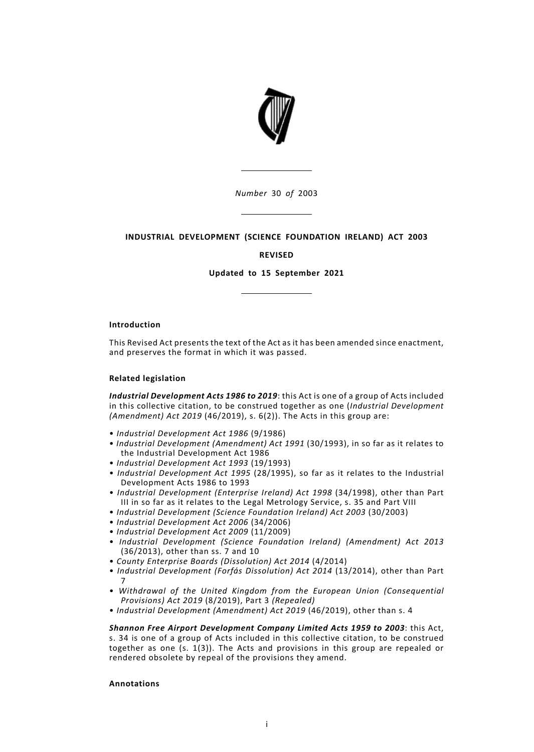

*Number* 30 *of* 2003

# **INDUSTRIAL DEVELOPMENT (SCIENCE FOUNDATION IRELAND) ACT 2003**

# **REVISED**

**Updated to 15 September 2021**

#### **Introduction**

This Revised Act presents the text of the Act as it has been amended since enactment, and preserves the format in which it was passed.

### **Related legislation**

*Industrial Development Acts 1986 to 2019*: this Act is one of a group of Acts included in this collective citation, to be construed together as one (*Industrial Development (Amendment) Act 2019* (46/2019), s. 6(2)). The Acts in this group are:

- *Industrial Development Act 1986* (9/1986)
- *Industrial Development (Amendment) Act 1991* (30/1993), in so far as it relates to the Industrial Development Act 1986
- *Industrial Development Act 1993* (19/1993)
- *Industrial Development Act 1995* (28/1995), so far as it relates to the Industrial Development Acts 1986 to 1993
- *Industrial Development (Enterprise Ireland) Act 1998* (34/1998), other than Part III in so far as it relates to the Legal Metrology Service, s. 35 and Part VIII
- *Industrial Development (Science Foundation Ireland) Act 2003* (30/2003)
- *Industrial Development Act 2006* (34/2006)
- *Industrial Development Act 2009* (11/2009)
- *Industrial Development (Science Foundation Ireland) (Amendment) Act 2013* (36/2013), other than ss. 7 and 10
- *County Enterprise Boards (Dissolution) Act 2014* (4/2014)
- *Industrial Development (Forfás Dissolution) Act 2014* (13/2014), other than Part 7
- *Withdrawal of the United Kingdom from the European Union (Consequential Provisions) Act 2019* (8/2019), Part 3 *(Repealed)*
- *Industrial Development (Amendment) Act 2019* (46/2019), other than s. 4

*Shannon Free Airport Development Company Limited Acts 1959 to 2003*: this Act, s. 34 is one of a group of Acts included in this collective citation, to be construed together as one  $(s. 1(3))$ . The Acts and provisions in this group are repealed or rendered obsolete by repeal of the provisions they amend.

### **Annotations**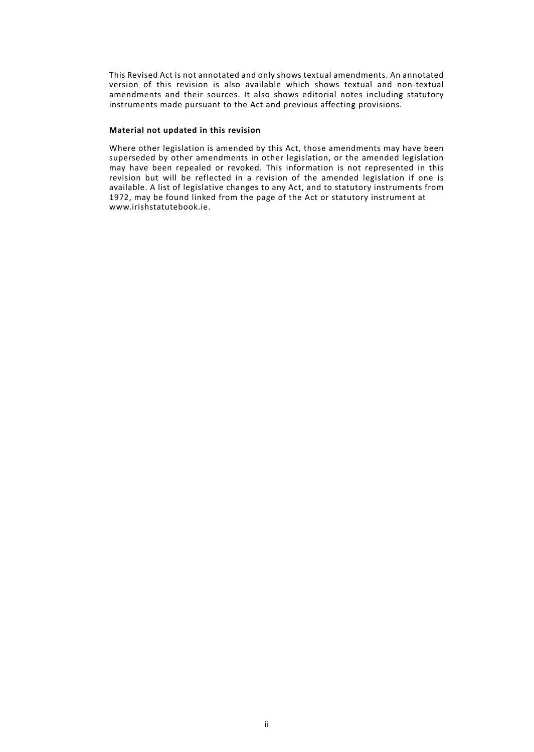This Revised Act is not annotated and only shows textual amendments. An annotated version of this revision is also available which shows textual and non-textual amendments and their sources. It also shows editorial notes including statutory instruments made pursuant to the Act and previous affecting provisions.

#### **Material not updated in this revision**

Where other legislation is amended by this Act, those amendments may have been superseded by other amendments in other legislation, or the amended legislation may have been repealed or revoked. This information is not represented in this revision but will be reflected in a revision of the amended legislation if one is available. A list of legislative changes to any Act, and to statutory instruments from 1972, may be found linked from the page of the Act or statutory instrument at www.irishstatutebook.ie.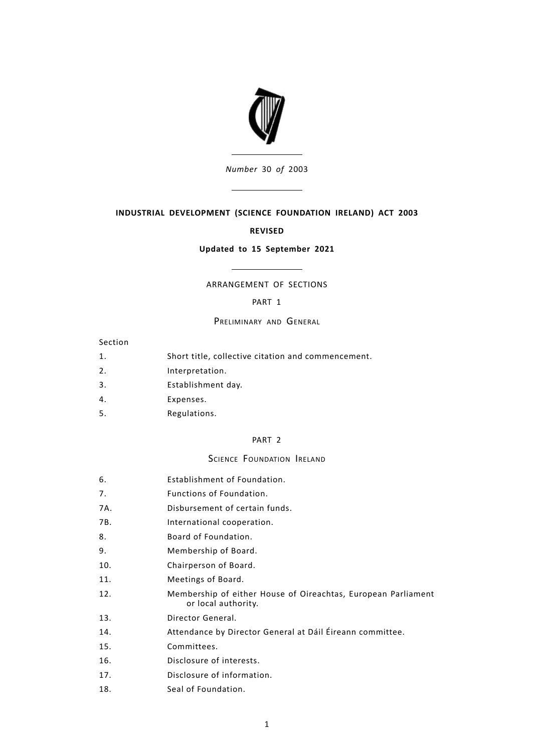

*Number* 30 *of* 2003

# **INDUSTRIAL DEVELOPMENT (SCIENCE FOUNDATION IRELAND) ACT 2003**

### **REVISED**

### **Updated to 15 September 2021**

# ARRANGEMENT OF SECTIONS

# [PART](#page-6-0) 1

### PRELIMINARY AND GENERAL

# Section

- 1. Short title, collective citation and [commencement.](#page-6-1)
- 2. [Interpretation.](#page-6-2)
- 3. [Establishment](#page-7-0) day.
- 4. [Expenses.](#page-7-1)
- 5. [Regulations.](#page-8-0)

# [PART](#page-8-1) 2

#### SCIENCE FOUNDATION IRELAND

- 6. [Establishment](#page-8-2) of Foundation.
- 7. Functions of [Foundation.](#page-8-3)
- 7A. [Disbursement](#page-8-3) of certain funds.
- 7B. [International](#page-8-3) cooperation.
- 8. Board of [Foundation.](#page-10-0)
- 9. [Membership](#page-10-1) of Board.
- 10. [Chairperson](#page-11-0) of Board.
- 11. [Meetings](#page-11-1) of Board.
- [Membership](#page-12-0) of either House of Oireachtas, European Parliament or local [authority.](#page-12-0) 12.
- 13. Director [General.](#page-12-1)
- 14. [Attendance](#page-13-0) by Director General at Dáil Éireann committee.
- 15. [Committees.](#page-13-1)
- 16. [Disclosure](#page-14-0) of interests.
- 17. Disclosure of [information.](#page-15-0)
- 18. Seal of [Foundation.](#page-15-1)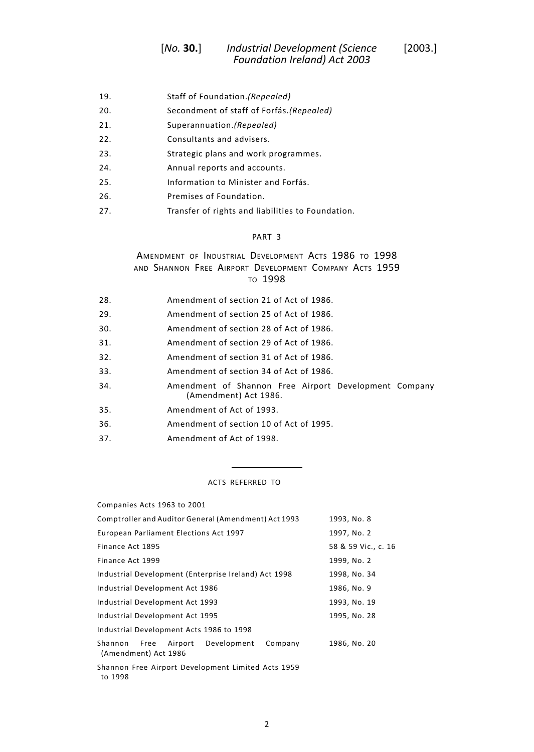- 19. Staff of [Foundation.](#page-16-0)*(Repealed)*
- 20. [Secondment](#page-16-1) of staff of Forfás.*(Repealed)*
- 21. [Superannuation.](#page-16-2)*(Repealed)*
- 22. [Consultants](#page-16-3) and advisers.
- 23. Strategic plans and work [programmes.](#page-16-4)
- 24. Annual reports and [accounts.](#page-16-5)
- 25. [Information](#page-17-0) to Minister and Forfás.
- 26. Premises of [Foundation.](#page-17-1)
- 27. Transfer of rights and liabilities to [Foundation.](#page-17-2)

### [PART](#page-18-0) 3

# AMENDMENT OF INDUSTRIAL DEVELOPMENT ACTS 1986 TO 1998 AND SHANNON FREE AIRPORT DEVELOPMENT COMPANY ACTS 1959 TO 1998

- 28. [Amendment](#page-18-1) of section 21 of Act of 1986.
- 29. [Amendment](#page-18-2) of section 25 of Act of 1986.
- 30. [Amendment](#page-18-3) of section 28 of Act of 1986.
- 31. [Amendment](#page-18-4) of section 29 of Act of 1986.
- 32. [Amendment](#page-20-0) of section 31 of Act of 1986.
- 33. [Amendment](#page-20-1) of section 34 of Act of 1986.
- Amendment of Shannon Free Airport [Development](#page-20-2) Company [\(Amendment\)](#page-20-2) Act 1986. 34.
- 35. [Amendment](#page-20-3) of Act of 1993.
- 36. [Amendment](#page-22-0) of section 10 of Act of 1995.
- 37. [Amendment](#page-22-1) of Act of 1998.

#### ACTS REFERRED TO

| Companies Acts 1963 to 2001                                                                   |                     |
|-----------------------------------------------------------------------------------------------|---------------------|
| Comptroller and Auditor General (Amendment) Act 1993                                          | 1993, No. 8         |
| European Parliament Elections Act 1997                                                        | 1997, No. 2         |
| Finance Act 1895                                                                              | 58 & 59 Vic., c. 16 |
| Finance Act 1999                                                                              | 1999, No. 2         |
| Industrial Development (Enterprise Ireland) Act 1998                                          | 1998, No. 34        |
| Industrial Development Act 1986                                                               | 1986, No. 9         |
| Industrial Development Act 1993                                                               | 1993, No. 19        |
| Industrial Development Act 1995                                                               | 1995, No. 28        |
| Industrial Development Acts 1986 to 1998                                                      |                     |
| Development<br>Company<br>Shannon<br>Free<br>Airport<br>(Amendment) Act 1986                  | 1986, No. 20        |
| Shannon Free Airport Development Limited Acts 1959<br>$\cdot$ $\cdot$ $\cdot$ $\cdot$ $\cdot$ |                     |

to 1998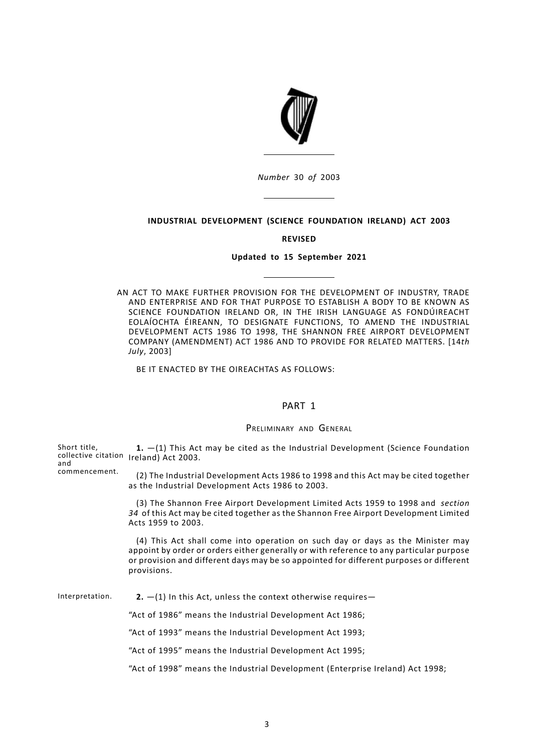

*Number* 30 *of* 2003

### **INDUSTRIAL DEVELOPMENT (SCIENCE FOUNDATION IRELAND) ACT 2003**

#### **REVISED**

# **Updated to 15 September 2021**

AN ACT TO MAKE FURTHER PROVISION FOR THE DEVELOPMENT OF INDUSTRY, TRADE AND ENTERPRISE AND FOR THAT PURPOSE TO ESTABLISH A BODY TO BE KNOWN AS SCIENCE FOUNDATION IRELAND OR, IN THE IRISH LANGUAGE AS FONDÚIREACHT EOLAÍOCHTA ÉIREANN, TO DESIGNATE FUNCTIONS, TO AMEND THE INDUSTRIAL DEVELOPMENT ACTS 1986 TO 1998, THE SHANNON FREE AIRPORT DEVELOPMENT COMPANY (AMENDMENT) ACT 1986 AND TO PROVIDE FOR RELATED MATTERS. [14*th July*, 2003]

<span id="page-6-1"></span><span id="page-6-0"></span>BE IT ENACTED BY THE OIREACHTAS AS FOLLOWS:

### PART 1

#### PRELIMINARY AND GENERAL

<span id="page-6-2"></span>Short title, collective citation Ireland) Act 2003. and commencement. **1.** —(1) This Act may be cited as the Industrial Development (Science Foundation (2) The Industrial Development Acts 1986 to 1998 and this Act may be cited together as the Industrial Development Acts 1986 to 2003. (3) The Shannon Free Airport Development Limited Acts 1959 to 1998 and *section 34* of this Act may be cited together as the Shannon Free Airport Development Limited Acts 1959 to 2003. (4) This Act shall come into operation on such day or days as the Minister may appoint by order or orders either generally or with reference to any particular purpose or provision and different days may be so appointed for different purposes or different provisions. Interpretation. **2.** —(1) In this Act, unless the context otherwise requires— "Act of 1986" means the Industrial Development Act 1986; "Act of 1993" means the Industrial Development Act 1993; "Act of 1995" means the Industrial Development Act 1995; "Act of 1998" means the Industrial Development (Enterprise Ireland) Act 1998;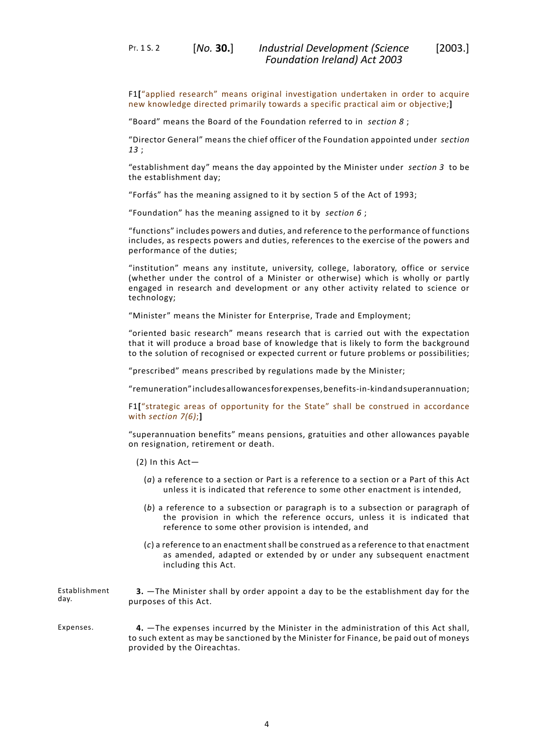PT. 1 S. 2 [*No.* **30.**]

"Board" means the Board of the Foundation referred to in *section 8* ;

"Director General" means the chief officer of the Foundation appointed under *section 13* ;

"establishment day" means the day appointed by the Minister under *section 3* to be the establishment day;

"Forfás" has the meaning assigned to it by section 5 of the Act of 1993;

"Foundation" has the meaning assigned to it by *section 6* ;

"functions" includes powers and duties, and reference to the performance of functions includes, as respects powers and duties, references to the exercise of the powers and performance of the duties;

"institution" means any institute, university, college, laboratory, office or service (whether under the control of a Minister or otherwise) which is wholly or partly engaged in research and development or any other activity related to science or technology;

"Minister" means the Minister for Enterprise, Trade and Employment;

"oriented basic research" means research that is carried out with the expectation that it will produce a broad base of knowledge that is likely to form the background to the solution of recognised or expected current or future problems or possibilities;

"prescribed" means prescribed by regulations made by the Minister;

"remuneration"includesallowancesforexpenses,benefits-in-kindandsuperannuation;

F1**[**"strategic areas of opportunity for the State" shall be construed in accordance with *section 7(6)*;**]**

"superannuation benefits" means pensions, gratuities and other allowances payable on resignation, retirement or death.

- <span id="page-7-0"></span>(2) In this Act—
	- (*a*) a reference to a section or Part is a reference to a section or a Part of this Act unless it is indicated that reference to some other enactment is intended,
	- (*b*) a reference to a subsection or paragraph is to a subsection or paragraph of the provision in which the reference occurs, unless it is indicated that reference to some other provision is intended, and
	- (*c*) a reference to an enactment shall be construed as a reference to that enactment as amended, adapted or extended by or under any subsequent enactment including this Act.

<span id="page-7-1"></span>Establishment day. **3.** —The Minister shall by order appoint a day to be the establishment day for the purposes of this Act.

Expenses. **4.** —The expenses incurred by the Minister in the administration of this Act shall, to such extent as may be sanctioned by the Minister for Finance, be paid out of moneys provided by the Oireachtas.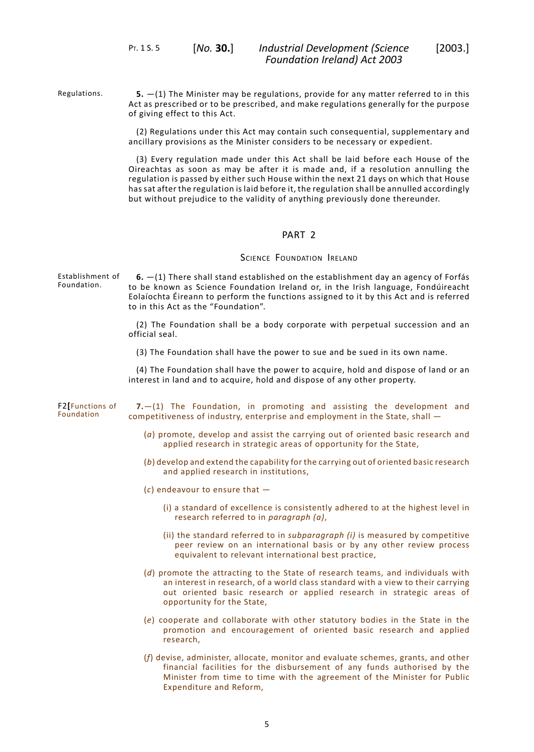<span id="page-8-0"></span>PT. 1 S. 5 [*No.* **30.**]

Regulations. **5.** —(1) The Minister may be regulations, provide for any matter referred to in this Act as prescribed or to be prescribed, and make regulations generally for the purpose of giving effect to this Act.

> (2) Regulations under this Act may contain such consequential, supplementary and ancillary provisions as the Minister considers to be necessary or expedient.

> <span id="page-8-1"></span>(3) Every regulation made under this Act shall be laid before each House of the Oireachtas as soon as may be after it is made and, if a resolution annulling the regulation is passed by either such House within the next 21 days on which that House has sat after the regulation is laid before it, the regulation shall be annulled accordingly but without prejudice to the validity of anything previously done thereunder.

# PART 2

#### SCIENCE FOUNDATION IRELAND

<span id="page-8-2"></span>Establishment of Foundation. **6.** —(1) There shall stand established on the establishment day an agency of Forfás to be known as Science Foundation Ireland or, in the Irish language, Fondúireacht Eolaíochta Éireann to perform the functions assigned to it by this Act and is referred to in this Act as the "Foundation".

> (2) The Foundation shall be a body corporate with perpetual succession and an official seal.

(3) The Foundation shall have the power to sue and be sued in its own name.

<span id="page-8-3"></span>(4) The Foundation shall have the power to acquire, hold and dispose of land or an interest in land and to acquire, hold and dispose of any other property.

- F2**[**Functions of Foundation **7.**—(1) The Foundation, in promoting and assisting the development and competitiveness of industry, enterprise and employment in the State, shall —
	- (*a*) promote, develop and assist the carrying out of oriented basic research and applied research in strategic areas of opportunity for the State,
	- (*b*) develop and extend the capability for the carrying out of oriented basic research and applied research in institutions,
	- (*c*) endeavour to ensure that
		- (i) a standard of excellence is consistently adhered to at the highest level in research referred to in *paragraph (a)*,
		- (ii) the standard referred to in *subparagraph (i)* is measured by competitive peer review on an international basis or by any other review process equivalent to relevant international best practice,
	- (*d*) promote the attracting to the State of research teams, and individuals with an interest in research, of a world class standard with a view to their carrying out oriented basic research or applied research in strategic areas of opportunity for the State,
	- (*e*) cooperate and collaborate with other statutory bodies in the State in the promotion and encouragement of oriented basic research and applied research,
	- (*f*) devise, administer, allocate, monitor and evaluate schemes, grants, and other financial facilities for the disbursement of any funds authorised by the Minister from time to time with the agreement of the Minister for Public Expenditure and Reform,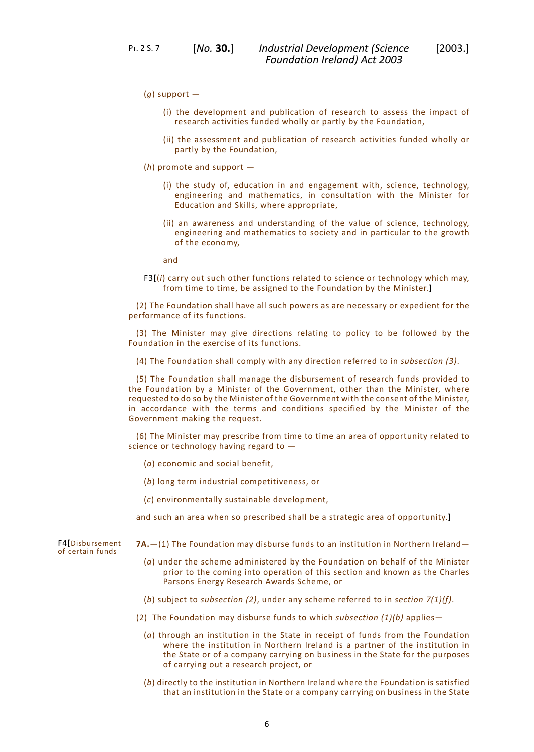PT. 2 S. 7 [*No.* **30.**]

- (i) the development and publication of research to assess the impact of research activities funded wholly or partly by the Foundation,
- (ii) the assessment and publication of research activities funded wholly or partly by the Foundation,
- (*h*) promote and support
	- (i) the study of, education in and engagement with, science, technology, engineering and mathematics, in consultation with the Minister for Education and Skills, where appropriate,
	- (ii) an awareness and understanding of the value of science, technology, engineering and mathematics to society and in particular to the growth of the economy,

and

F3**[**(*i*) carry out such other functions related to science or technology which may, from time to time, be assigned to the Foundation by the Minister.**]**

(2) The Foundation shall have all such powers as are necessary or expedient for the performance of its functions.

(3) The Minister may give directions relating to policy to be followed by the Foundation in the exercise of its functions.

(4) The Foundation shall comply with any direction referred to in *subsection (3)*.

(5) The Foundation shall manage the disbursement of research funds provided to the Foundation by a Minister of the Government, other than the Minister, where requested to do so by the Minister of the Government with the consent of the Minister, in accordance with the terms and conditions specified by the Minister of the Government making the request.

(6) The Minister may prescribe from time to time an area of opportunity related to science or technology having regard to —

- (*a*) economic and social benefit,
- (*b*) long term industrial competitiveness, or
- (*c*) environmentally sustainable development,

and such an area when so prescribed shall be a strategic area of opportunity.**]**

**7A.**—(1) The Foundation may disburse funds to an institution in Northern Ireland—

- (*a*) under the scheme administered by the Foundation on behalf of the Minister prior to the coming into operation of this section and known as the Charles Parsons Energy Research Awards Scheme, or
- (*b*) subject to *subsection (2)*, under any scheme referred to in *section 7(1)(f)*.
- (2) The Foundation may disburse funds to which *subsection (1)(b)* applies—
	- (*a*) through an institution in the State in receipt of funds from the Foundation where the institution in Northern Ireland is a partner of the institution in the State or of a company carrying on business in the State for the purposes of carrying out a research project, or
	- (*b*) directly to the institution in Northern Ireland where the Foundation is satisfied that an institution in the State or a company carrying on business in the State

F4**[**Disbursement of certain funds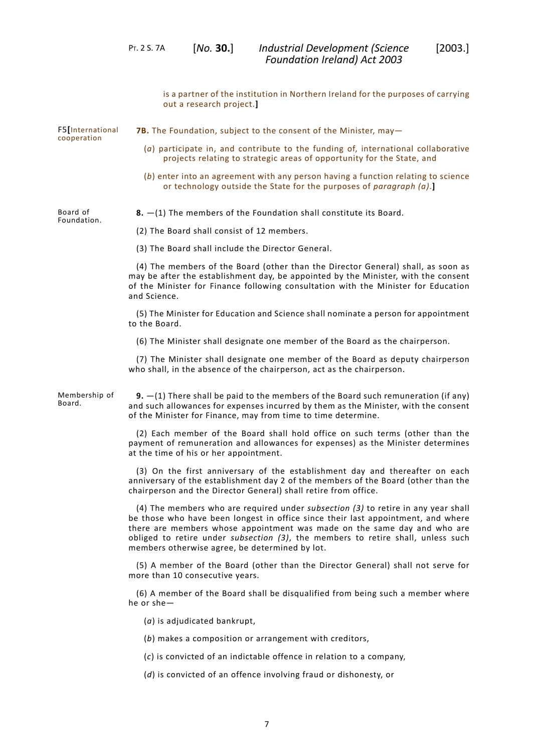<span id="page-10-1"></span><span id="page-10-0"></span>is a partner of the institution in Northern Ireland for the purposes of carrying out a research project.**]** F5**[**International cooperation **7B.** The Foundation, subject to the consent of the Minister, may— (*a*) participate in, and contribute to the funding of, international collaborative projects relating to strategic areas of opportunity for the State, and (*b*) enter into an agreement with any person having a function relating to science or technology outside the State for the purposes of *paragraph (a)*.**]** Board of Foundation. **8.** —(1) The members of the Foundation shall constitute its Board. (2) The Board shall consist of 12 members. (3) The Board shall include the Director General. (4) The members of the Board (other than the Director General) shall, as soon as may be after the establishment day, be appointed by the Minister, with the consent of the Minister for Finance following consultation with the Minister for Education and Science. (5) The Minister for Education and Science shall nominate a person for appointment to the Board. (6) The Minister shall designate one member of the Board as the chairperson. (7) The Minister shall designate one member of the Board as deputy chairperson who shall, in the absence of the chairperson, act as the chairperson. Membership of Board. **9.** —(1) There shall be paid to the members of the Board such remuneration (if any) and such allowances for expenses incurred by them as the Minister, with the consent of the Minister for Finance, may from time to time determine. (2) Each member of the Board shall hold office on such terms (other than the payment of remuneration and allowances for expenses) as the Minister determines at the time of his or her appointment. (3) On the first anniversary of the establishment day and thereafter on each anniversary of the establishment day 2 of the members of the Board (other than the chairperson and the Director General) shall retire from office. (4) The members who are required under *subsection (3)* to retire in any year shall be those who have been longest in office since their last appointment, and where there are members whose appointment was made on the same day and who are obliged to retire under *subsection (3)*, the members to retire shall, unless such members otherwise agree, be determined by lot. (5) A member of the Board (other than the Director General) shall not serve for more than 10 consecutive years. (6) A member of the Board shall be disqualified from being such a member where he or she— (*a*) is adjudicated bankrupt, (*b*) makes a composition or arrangement with creditors, (*c*) is convicted of an indictable offence in relation to a company, (*d*) is convicted of an offence involving fraud or dishonesty, or *Foundation Ireland) Act 2003*

PT. 2 S. 7A [*No.* **30.**]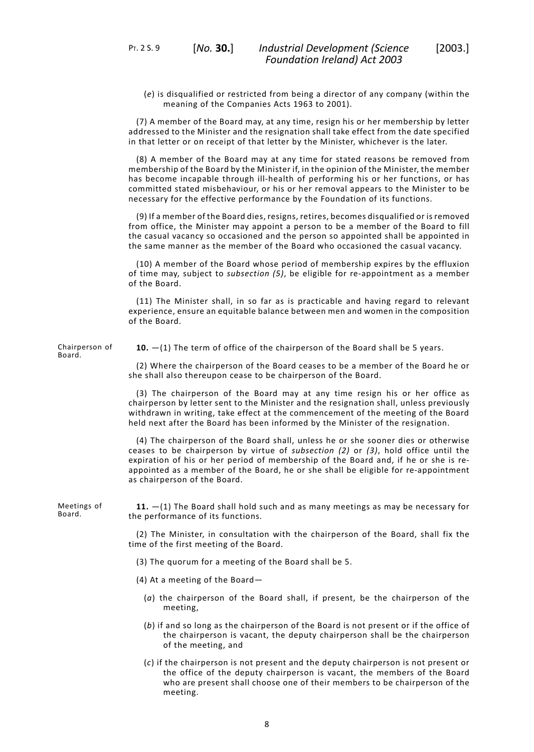(*e*) is disqualified or restricted from being a director of any company (within the meaning of the Companies Acts 1963 to 2001).

(7) A member of the Board may, at any time, resign his or her membership by letter addressed to the Minister and the resignation shall take effect from the date specified in that letter or on receipt of that letter by the Minister, whichever is the later.

(8) A member of the Board may at any time for stated reasons be removed from membership of the Board by the Minister if, in the opinion of the Minister, the member has become incapable through ill-health of performing his or her functions, or has committed stated misbehaviour, or his or her removal appears to the Minister to be necessary for the effective performance by the Foundation of its functions.

(9) If a member of the Board dies, resigns, retires, becomes disqualified or is removed from office, the Minister may appoint a person to be a member of the Board to fill the casual vacancy so occasioned and the person so appointed shall be appointed in the same manner as the member of the Board who occasioned the casual vacancy.

(10) A member of the Board whose period of membership expires by the effluxion of time may, subject to *subsection (5)*, be eligible for re-appointment as a member of the Board.

<span id="page-11-0"></span>(11) The Minister shall, in so far as is practicable and having regard to relevant experience, ensure an equitable balance between men and women in the composition of the Board.

Chairperson of Board.

**10.** —(1) The term of office of the chairperson of the Board shall be 5 years.

(2) Where the chairperson of the Board ceases to be a member of the Board he or she shall also thereupon cease to be chairperson of the Board.

(3) The chairperson of the Board may at any time resign his or her office as chairperson by letter sent to the Minister and the resignation shall, unless previously withdrawn in writing, take effect at the commencement of the meeting of the Board held next after the Board has been informed by the Minister of the resignation.

<span id="page-11-1"></span>(4) The chairperson of the Board shall, unless he or she sooner dies or otherwise ceases to be chairperson by virtue of *subsection (2)* or *(3)*, hold office until the expiration of his or her period of membership of the Board and, if he or she is reappointed as a member of the Board, he or she shall be eligible for re-appointment as chairperson of the Board.

Meetings of Board.

**11.** —(1) The Board shall hold such and as many meetings as may be necessary for the performance of its functions.

(2) The Minister, in consultation with the chairperson of the Board, shall fix the time of the first meeting of the Board.

- (3) The quorum for a meeting of the Board shall be 5.
- (4) At a meeting of the Board—
	- (*a*) the chairperson of the Board shall, if present, be the chairperson of the meeting,
	- (*b*) if and so long as the chairperson of the Board is not present or if the office of the chairperson is vacant, the deputy chairperson shall be the chairperson of the meeting, and
	- (*c*) if the chairperson is not present and the deputy chairperson is not present or the office of the deputy chairperson is vacant, the members of the Board who are present shall choose one of their members to be chairperson of the meeting.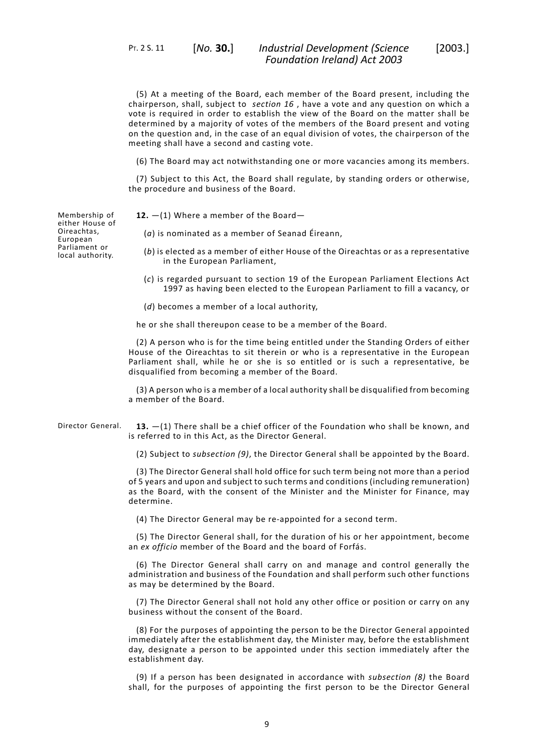PT. 2 S. 11 [*No.* **30.**]

(5) At a meeting of the Board, each member of the Board present, including the chairperson, shall, subject to *section 16* , have a vote and any question on which a vote is required in order to establish the view of the Board on the matter shall be determined by a majority of votes of the members of the Board present and voting on the question and, in the case of an equal division of votes, the chairperson of the meeting shall have a second and casting vote.

(6) The Board may act notwithstanding one or more vacancies among its members.

<span id="page-12-0"></span>(7) Subject to this Act, the Board shall regulate, by standing orders or otherwise, the procedure and business of the Board.

**12.** —(1) Where a member of the Board—

(*a*) is nominated as a member of Seanad Éireann,

- (*b*) is elected as a member of either House of the Oireachtas or as a representative in the European Parliament,
- (*c*) is regarded pursuant to section 19 of the European Parliament Elections Act 1997 as having been elected to the European Parliament to fill a vacancy, or
- (*d*) becomes a member of a local authority,

he or she shall thereupon cease to be a member of the Board.

(2) A person who is for the time being entitled under the Standing Orders of either House of the Oireachtas to sit therein or who is a representative in the European Parliament shall, while he or she is so entitled or is such a representative, be disqualified from becoming a member of the Board.

<span id="page-12-1"></span>(3) A person who is a member of a local authority shall be disqualified from becoming a member of the Board.

Director General. **13.** —(1) There shall be a chief officer of the Foundation who shall be known, and is referred to in this Act, as the Director General.

(2) Subject to *subsection (9)*, the Director General shall be appointed by the Board.

(3) The Director General shall hold office for such term being not more than a period of 5 years and upon and subject to such terms and conditions (including remuneration) as the Board, with the consent of the Minister and the Minister for Finance, may determine.

(4) The Director General may be re-appointed for a second term.

(5) The Director General shall, for the duration of his or her appointment, become an *ex officio* member of the Board and the board of Forfás.

(6) The Director General shall carry on and manage and control generally the administration and business of the Foundation and shall perform such other functions as may be determined by the Board.

(7) The Director General shall not hold any other office or position or carry on any business without the consent of the Board.

(8) For the purposes of appointing the person to be the Director General appointed immediately after the establishment day, the Minister may, before the establishment day, designate a person to be appointed under this section immediately after the establishment day.

(9) If a person has been designated in accordance with *subsection (8)* the Board shall, for the purposes of appointing the first person to be the Director General

Membership of either House of Oireachtas, **European** Parliament or local authority.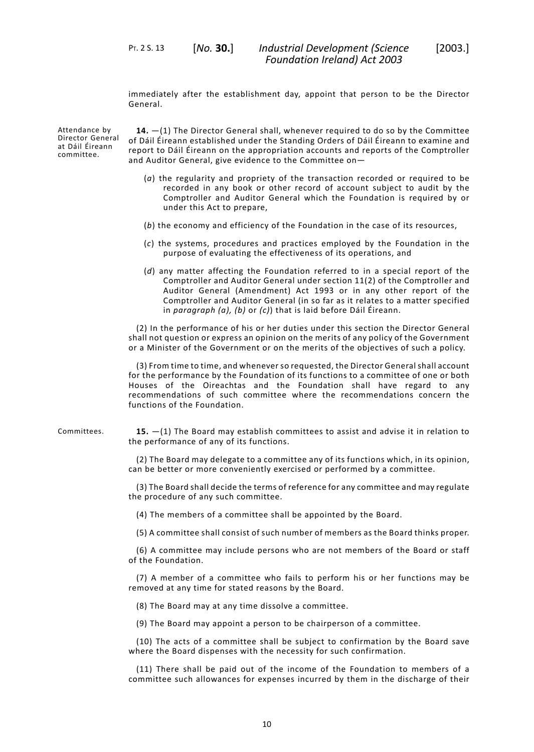immediately after the establishment day, appoint that person to be the Director General.

Attendance by Director General at Dáil Éireann committee.

<span id="page-13-0"></span>**14.** —(1) The Director General shall, whenever required to do so by the Committee of Dáil Éireann established under the Standing Orders of Dáil Éireann to examine and report to Dáil Éireann on the appropriation accounts and reports of the Comptroller and Auditor General, give evidence to the Committee on—

- (*a*) the regularity and propriety of the transaction recorded or required to be recorded in any book or other record of account subject to audit by the Comptroller and Auditor General which the Foundation is required by or under this Act to prepare,
- (*b*) the economy and efficiency of the Foundation in the case of its resources,
- (*c*) the systems, procedures and practices employed by the Foundation in the purpose of evaluating the effectiveness of its operations, and
- (*d*) any matter affecting the Foundation referred to in a special report of the Comptroller and Auditor General under section 11(2) of the Comptroller and Auditor General (Amendment) Act 1993 or in any other report of the Comptroller and Auditor General (in so far as it relates to a matter specified in *paragraph (a), (b)* or *(c)*) that is laid before Dáil Éireann.

(2) In the performance of his or her duties under this section the Director General shall not question or express an opinion on the merits of any policy of the Government or a Minister of the Government or on the merits of the objectives of such a policy.

<span id="page-13-1"></span>(3) From time to time, and whenever so requested, the Director General shall account for the performance by the Foundation of its functions to a committee of one or both Houses of the Oireachtas and the Foundation shall have regard to any recommendations of such committee where the recommendations concern the functions of the Foundation.

Committees. **15.** —(1) The Board may establish committees to assist and advise it in relation to the performance of any of its functions.

> (2) The Board may delegate to a committee any of its functions which, in its opinion, can be better or more conveniently exercised or performed by a committee.

> (3) The Board shall decide the terms of reference for any committee and may regulate the procedure of any such committee.

(4) The members of a committee shall be appointed by the Board.

(5) A committee shall consist of such number of members as the Board thinks proper.

(6) A committee may include persons who are not members of the Board or staff of the Foundation.

(7) A member of a committee who fails to perform his or her functions may be removed at any time for stated reasons by the Board.

(8) The Board may at any time dissolve a committee.

(9) The Board may appoint a person to be chairperson of a committee.

(10) The acts of a committee shall be subject to confirmation by the Board save where the Board dispenses with the necessity for such confirmation.

(11) There shall be paid out of the income of the Foundation to members of a committee such allowances for expenses incurred by them in the discharge of their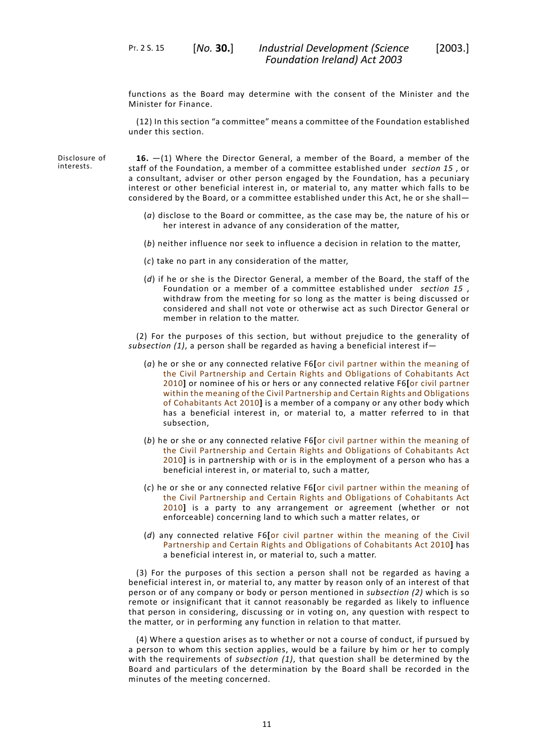functions as the Board may determine with the consent of the Minister and the Minister for Finance.

(12) In this section "a committee" means a committee of the Foundation established under this section.

Disclosure of interests.

<span id="page-14-0"></span>**16.** —(1) Where the Director General, a member of the Board, a member of the staff of the Foundation, a member of a committee established under *section 15* , or a consultant, adviser or other person engaged by the Foundation, has a pecuniary interest or other beneficial interest in, or material to, any matter which falls to be considered by the Board, or a committee established under this Act, he or she shall—

- (*a*) disclose to the Board or committee, as the case may be, the nature of his or her interest in advance of any consideration of the matter,
- (*b*) neither influence nor seek to influence a decision in relation to the matter,
- (*c*) take no part in any consideration of the matter,
- (*d*) if he or she is the Director General, a member of the Board, the staff of the Foundation or a member of a committee established under *section 15* , withdraw from the meeting for so long as the matter is being discussed or considered and shall not vote or otherwise act as such Director General or member in relation to the matter.

(2) For the purposes of this section, but without prejudice to the generality of *subsection (1)*, a person shall be regarded as having a beneficial interest if—

- (*a*) he or she or any connected relative F6**[**or civil partner within the meaning of the Civil Partnership and Certain Rights and Obligations of Cohabitants Act 2010**]** or nominee of his or hers or any connected relative F6**[**or civil partner within the meaning of the Civil Partnership and Certain Rights and Obligations of Cohabitants Act 2010**]** is a member of a company or any other body which has a beneficial interest in, or material to, a matter referred to in that subsection,
- (*b*) he or she or any connected relative F6**[**or civil partner within the meaning of the Civil Partnership and Certain Rights and Obligations of Cohabitants Act 2010**]** is in partnership with or is in the employment of a person who has a beneficial interest in, or material to, such a matter,
- (*c*) he or she or any connected relative F6**[**or civil partner within the meaning of the Civil Partnership and Certain Rights and Obligations of Cohabitants Act 2010**]** is a party to any arrangement or agreement (whether or not enforceable) concerning land to which such a matter relates, or
- (*d*) any connected relative F6**[**or civil partner within the meaning of the Civil Partnership and Certain Rights and Obligations of Cohabitants Act 2010**]** has a beneficial interest in, or material to, such a matter.

(3) For the purposes of this section a person shall not be regarded as having a beneficial interest in, or material to, any matter by reason only of an interest of that person or of any company or body or person mentioned in *subsection (2)* which is so remote or insignificant that it cannot reasonably be regarded as likely to influence that person in considering, discussing or in voting on, any question with respect to the matter, or in performing any function in relation to that matter.

(4) Where a question arises as to whether or not a course of conduct, if pursued by a person to whom this section applies, would be a failure by him or her to comply with the requirements of *subsection (1)*, that question shall be determined by the Board and particulars of the determination by the Board shall be recorded in the minutes of the meeting concerned.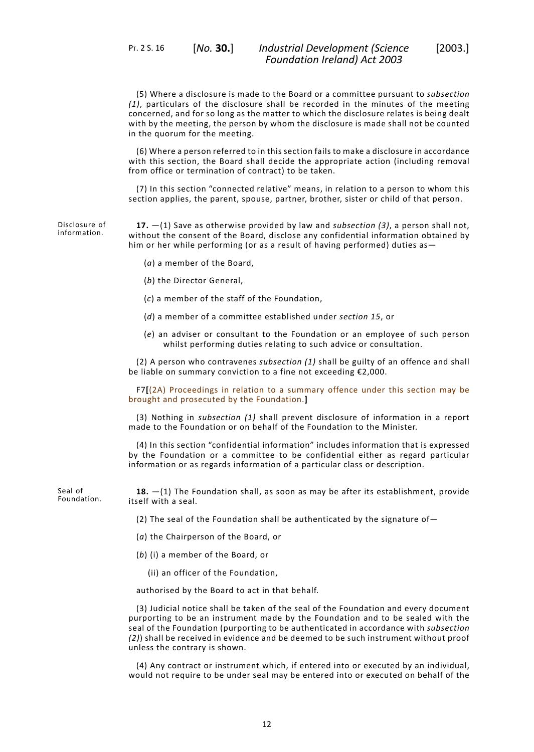(5) Where a disclosure is made to the Board or a committee pursuant to *subsection (1)*, particulars of the disclosure shall be recorded in the minutes of the meeting concerned, and for so long as the matter to which the disclosure relates is being dealt with by the meeting, the person by whom the disclosure is made shall not be counted in the quorum for the meeting.

(6) Where a person referred to in this section fails to make a disclosure in accordance with this section, the Board shall decide the appropriate action (including removal from office or termination of contract) to be taken.

<span id="page-15-0"></span>(7) In this section "connected relative" means, in relation to a person to whom this section applies, the parent, spouse, partner, brother, sister or child of that person.

Disclosure of information. **17.** —(1) Save as otherwise provided by law and *subsection (3)*, a person shall not, without the consent of the Board, disclose any confidential information obtained by him or her while performing (or as a result of having performed) duties as—

- (*a*) a member of the Board,
- (*b*) the Director General,
- (*c*) a member of the staff of the Foundation,
- (*d*) a member of a committee established under *section 15*, or
- (*e*) an adviser or consultant to the Foundation or an employee of such person whilst performing duties relating to such advice or consultation.

(2) A person who contravenes *subsection (1)* shall be guilty of an offence and shall be liable on summary conviction to a fine not exceeding €2,000.

F7**[**(2A) Proceedings in relation to a summary offence under this section may be brought and prosecuted by the Foundation.**]**

(3) Nothing in *subsection (1)* shall prevent disclosure of information in a report made to the Foundation or on behalf of the Foundation to the Minister.

<span id="page-15-1"></span>(4) In this section "confidential information" includes information that is expressed by the Foundation or a committee to be confidential either as regard particular information or as regards information of a particular class or description.

Seal of Foundation.

**18.** —(1) The Foundation shall, as soon as may be after its establishment, provide itself with a seal.

- (2) The seal of the Foundation shall be authenticated by the signature of  $-$
- (*a*) the Chairperson of the Board, or
- (*b*) (i) a member of the Board, or
	- (ii) an officer of the Foundation,

authorised by the Board to act in that behalf.

(3) Judicial notice shall be taken of the seal of the Foundation and every document purporting to be an instrument made by the Foundation and to be sealed with the seal of the Foundation (purporting to be authenticated in accordance with *subsection (2)*) shall be received in evidence and be deemed to be such instrument without proof unless the contrary is shown.

(4) Any contract or instrument which, if entered into or executed by an individual, would not require to be under seal may be entered into or executed on behalf of the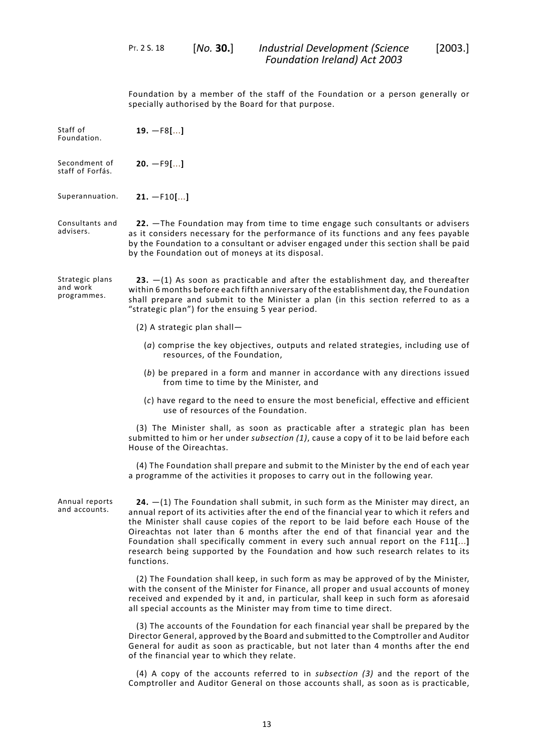PT. 2 S. 18 [*No.* **30.**]

<span id="page-16-2"></span><span id="page-16-1"></span><span id="page-16-0"></span>Foundation by a member of the staff of the Foundation or a person generally or specially authorised by the Board for that purpose.

<span id="page-16-4"></span><span id="page-16-3"></span>Staff of Foundation. **19.** —F8**[**...**]** Secondment of staff of Forfás. **20.** —F9**[**...**]** Superannuation. **21.** —F10**[**...**]** Consultants and advisers. **22.** —The Foundation may from time to time engage such consultants or advisers as it considers necessary for the performance of its functions and any fees payable by the Foundation to a consultant or adviser engaged under this section shall be paid by the Foundation out of moneys at its disposal. Strategic plans and work programmes. **23.** —(1) As soon as practicable and after the establishment day, and thereafter within 6 months before each fifth anniversary of the establishment day, the Foundation shall prepare and submit to the Minister a plan (in this section referred to as a "strategic plan") for the ensuing 5 year period. (2) A strategic plan shall— (*a*) comprise the key objectives, outputs and related strategies, including use of resources, of the Foundation, (*b*) be prepared in a form and manner in accordance with any directions issued from time to time by the Minister, and (*c*) have regard to the need to ensure the most beneficial, effective and efficient use of resources of the Foundation. (3) The Minister shall, as soon as practicable after a strategic plan has been submitted to him or her under *subsection (1)*, cause a copy of it to be laid before each House of the Oireachtas. (4) The Foundation shall prepare and submit to the Minister by the end of each year a programme of the activities it proposes to carry out in the following year. Annual reports and accounts. **24.** —(1) The Foundation shall submit, in such form as the Minister may direct, an annual report of its activities after the end of the financial year to which it refers and the Minister shall cause copies of the report to be laid before each House of the Oireachtas not later than 6 months after the end of that financial year and the Foundation shall specifically comment in every such annual report on the F11**[**...**]** research being supported by the Foundation and how such research relates to its functions. (2) The Foundation shall keep, in such form as may be approved of by the Minister, with the consent of the Minister for Finance, all proper and usual accounts of money received and expended by it and, in particular, shall keep in such form as aforesaid all special accounts as the Minister may from time to time direct. (3) The accounts of the Foundation for each financial year shall be prepared by the Director General, approved by the Board and submitted to the Comptroller and Auditor General for audit as soon as practicable, but not later than 4 months after the end of the financial year to which they relate.

> <span id="page-16-5"></span>(4) A copy of the accounts referred to in *subsection (3)* and the report of the Comptroller and Auditor General on those accounts shall, as soon as is practicable,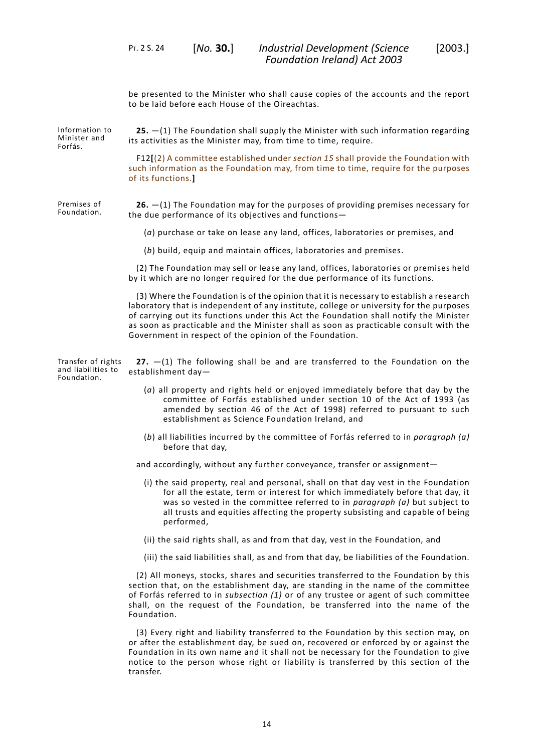<span id="page-17-0"></span>be presented to the Minister who shall cause copies of the accounts and the report to be laid before each House of the Oireachtas.

Information to Minister and Forfás. **25.** —(1) The Foundation shall supply the Minister with such information regarding its activities as the Minister may, from time to time, require.

> F12**[**(2) A committee established under *section 15* shall provide the Foundation with such information as the Foundation may, from time to time, require for the purposes of its functions.**]**

Premises of Foundation.

<span id="page-17-1"></span>**26.** —(1) The Foundation may for the purposes of providing premises necessary for the due performance of its objectives and functions—

(*a*) purchase or take on lease any land, offices, laboratories or premises, and

(*b*) build, equip and maintain offices, laboratories and premises.

(2) The Foundation may sell or lease any land, offices, laboratories or premises held by it which are no longer required for the due performance of its functions.

<span id="page-17-2"></span>(3) Where the Foundation is of the opinion that it is necessary to establish a research laboratory that is independent of any institute, college or university for the purposes of carrying out its functions under this Act the Foundation shall notify the Minister as soon as practicable and the Minister shall as soon as practicable consult with the Government in respect of the opinion of the Foundation.

Transfer of rights and liabilities to Foundation.

**27.** —(1) The following shall be and are transferred to the Foundation on the establishment day—

- (*a*) all property and rights held or enjoyed immediately before that day by the committee of Forfás established under section 10 of the Act of 1993 (as amended by section 46 of the Act of 1998) referred to pursuant to such establishment as Science Foundation Ireland, and
- (*b*) all liabilities incurred by the committee of Forfás referred to in *paragraph (a)* before that day,

and accordingly, without any further conveyance, transfer or assignment—

- (i) the said property, real and personal, shall on that day vest in the Foundation for all the estate, term or interest for which immediately before that day, it was so vested in the committee referred to in *paragraph (a)* but subject to all trusts and equities affecting the property subsisting and capable of being performed,
- (ii) the said rights shall, as and from that day, vest in the Foundation, and
- (iii) the said liabilities shall, as and from that day, be liabilities of the Foundation.

(2) All moneys, stocks, shares and securities transferred to the Foundation by this section that, on the establishment day, are standing in the name of the committee of Forfás referred to in *subsection (1)* or of any trustee or agent of such committee shall, on the request of the Foundation, be transferred into the name of the Foundation.

(3) Every right and liability transferred to the Foundation by this section may, on or after the establishment day, be sued on, recovered or enforced by or against the Foundation in its own name and it shall not be necessary for the Foundation to give notice to the person whose right or liability is transferred by this section of the transfer.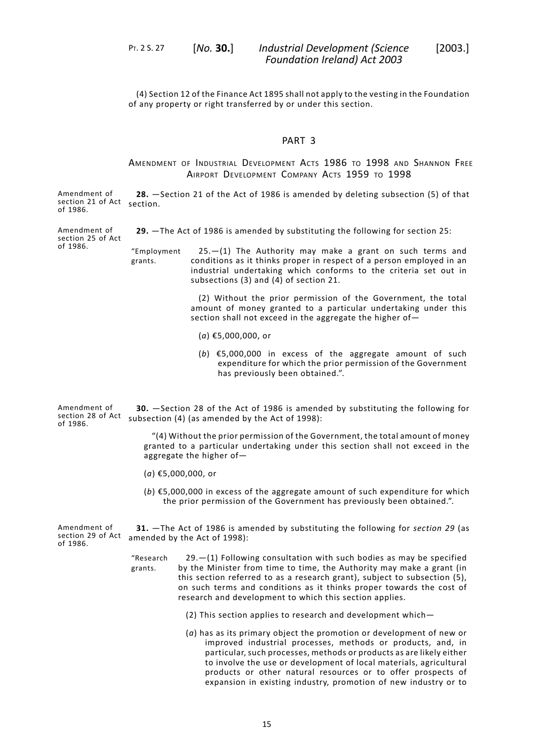PT. 2 S. 27 [*No.* **30.**]

*Industrial Development (Science* [2003.] *Foundation Ireland) Act 2003*

<span id="page-18-0"></span>(4) Section 12 of the Finance Act 1895 shall not apply to the vesting in the Foundation of any property or right transferred by or under this section.

#### PART 3

### <span id="page-18-1"></span>AMENDMENT OF INDUSTRIAL DEVELOPMENT ACTS 1986 TO 1998 AND SHANNON FREE AIRPORT DEVELOPMENT COMPANY ACTS 1959 TO 1998

Amendment of section 21 of Act section. of 1986. **28.** —Section 21 of the Act of 1986 is amended by deleting subsection (5) of that

<span id="page-18-2"></span>**29.** —The Act of 1986 is amended by substituting the following for section 25:

Amendment of section 25 of Act of 1986.

grants.

25.—(1) The Authority may make a grant on such terms and conditions as it thinks proper in respect of a person employed in an "Employment industrial undertaking which conforms to the criteria set out in subsections (3) and (4) of section 21.

> (2) Without the prior permission of the Government, the total amount of money granted to a particular undertaking under this section shall not exceed in the aggregate the higher of—

- (*a*) €5,000,000, or
- (*b*) €5,000,000 in excess of the aggregate amount of such expenditure for which the prior permission of the Government has previously been obtained.".

<span id="page-18-3"></span>Amendment of section 28 of Act of 1986. **30.** —Section 28 of the Act of 1986 is amended by substituting the following for subsection (4) (as amended by the Act of 1998):

> "(4) Without the prior permission of the Government, the total amount of money granted to a particular undertaking under this section shall not exceed in the aggregate the higher of—

- <span id="page-18-4"></span>(*a*) €5,000,000, or
- (*b*) €5,000,000 in excess of the aggregate amount of such expenditure for which the prior permission of the Government has previously been obtained.".

Amendment of section 29 of Act of 1986. **31.** —The Act of 1986 is amended by substituting the following for *section 29* (as amended by the Act of 1998):

- 29.—(1) Following consultation with such bodies as may be specified by the Minister from time to time, the Authority may make a grant (in "Research grants. this section referred to as a research grant), subject to subsection (5), on such terms and conditions as it thinks proper towards the cost of research and development to which this section applies.
	- (2) This section applies to research and development which—
	- (*a*) has as its primary object the promotion or development of new or improved industrial processes, methods or products, and, in particular, such processes, methods or products as are likely either to involve the use or development of local materials, agricultural products or other natural resources or to offer prospects of expansion in existing industry, promotion of new industry or to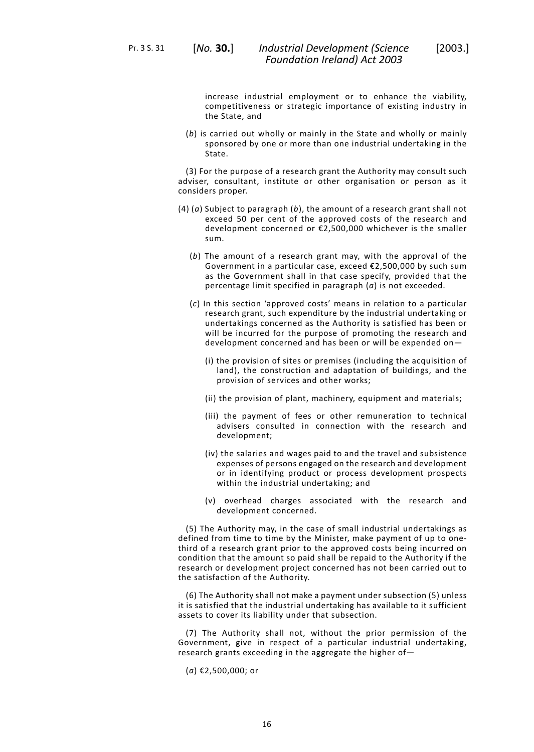PT. 3 S. 31 [*No.* **30.**]

increase industrial employment or to enhance the viability, competitiveness or strategic importance of existing industry in the State, and

(*b*) is carried out wholly or mainly in the State and wholly or mainly sponsored by one or more than one industrial undertaking in the State.

(3) For the purpose of a research grant the Authority may consult such adviser, consultant, institute or other organisation or person as it considers proper.

- (4) (*a*) Subject to paragraph (*b*), the amount of a research grant shall not exceed 50 per cent of the approved costs of the research and development concerned or €2,500,000 whichever is the smaller sum.
	- (*b*) The amount of a research grant may, with the approval of the Government in a particular case, exceed €2,500,000 by such sum as the Government shall in that case specify, provided that the percentage limit specified in paragraph (*a*) is not exceeded.
	- (*c*) In this section 'approved costs' means in relation to a particular research grant, such expenditure by the industrial undertaking or undertakings concerned as the Authority is satisfied has been or will be incurred for the purpose of promoting the research and development concerned and has been or will be expended on—
		- (i) the provision of sites or premises (including the acquisition of land), the construction and adaptation of buildings, and the provision of services and other works;
		- (ii) the provision of plant, machinery, equipment and materials;
		- (iii) the payment of fees or other remuneration to technical advisers consulted in connection with the research and development;
		- (iv) the salaries and wages paid to and the travel and subsistence expenses of persons engaged on the research and development or in identifying product or process development prospects within the industrial undertaking; and
		- (v) overhead charges associated with the research and development concerned.

(5) The Authority may, in the case of small industrial undertakings as defined from time to time by the Minister, make payment of up to onethird of a research grant prior to the approved costs being incurred on condition that the amount so paid shall be repaid to the Authority if the research or development project concerned has not been carried out to the satisfaction of the Authority.

(6) The Authority shall not make a payment under subsection (5) unless it is satisfied that the industrial undertaking has available to it sufficient assets to cover its liability under that subsection.

(7) The Authority shall not, without the prior permission of the Government, give in respect of a particular industrial undertaking, research grants exceeding in the aggregate the higher of—

(*a*) €2,500,000; or

16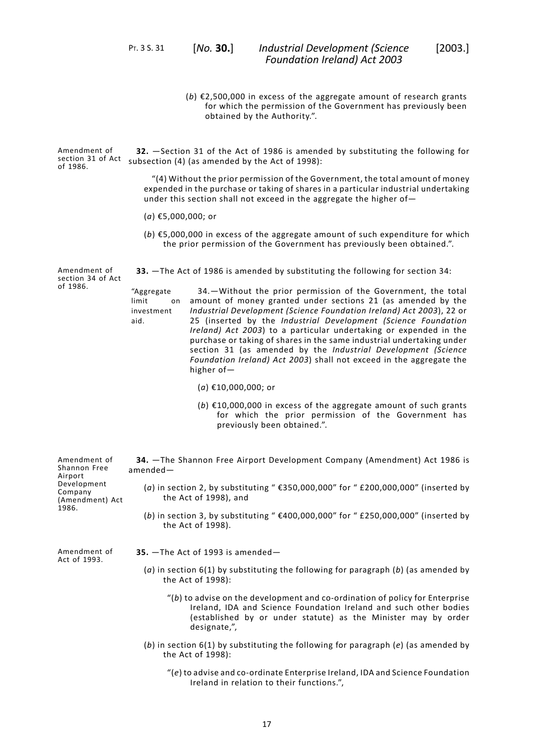PT. 3 S. 31 [*No.* **30.**]

(*b*) €2,500,000 in excess of the aggregate amount of research grants for which the permission of the Government has previously been obtained by the Authority.".

Amendment of section 31 of Act subsection (4) (as amended by the Act of 1998): of 1986. **32.** —Section 31 of the Act of 1986 is amended by substituting the following for

> <span id="page-20-0"></span>"(4) Without the prior permission of the Government, the total amount of money expended in the purchase or taking of shares in a particular industrial undertaking under this section shall not exceed in the aggregate the higher of—

- (*a*) €5,000,000; or
- <span id="page-20-1"></span>(*b*) €5,000,000 in excess of the aggregate amount of such expenditure for which the prior permission of the Government has previously been obtained.".

Amendment of section 34 of Act of 1986. **33.** —The Act of 1986 is amended by substituting the following for section 34:

"Aggregate limit investment<br>aid.

34.—Without the prior permission of the Government, the total amount of money granted under sections 21 (as amended by the *Industrial Development (Science Foundation Ireland) Act 2003*), 22 or aid. 25 (inserted by the *Industrial Development (Science Foundation Ireland) Act 2003*) to a particular undertaking or expended in the purchase or taking of shares in the same industrial undertaking under section 31 (as amended by the *Industrial Development (Science Foundation Ireland) Act 2003*) shall not exceed in the aggregate the higher of—

- (*a*) €10,000,000; or
- (*b*) €10,000,000 in excess of the aggregate amount of such grants for which the prior permission of the Government has previously been obtained.".

<span id="page-20-2"></span>Amendment of (Amendment) Act **34.** —The Shannon Free Airport Development Company (Amendment) Act 1986 is amended— (*a*) in section 2, by substituting " €350,000,000" for " £200,000,000" (inserted by the Act of 1998), and (*b*) in section 3, by substituting " €400,000,000" for " £250,000,000" (inserted by the Act of 1998). Amendment of **35.** —The Act of 1993 is amended—

<span id="page-20-3"></span>

- (*a*) in section 6(1) by substituting the following for paragraph (*b*) (as amended by the Act of 1998):
	- "(*b*) to advise on the development and co-ordination of policy for Enterprise Ireland, IDA and Science Foundation Ireland and such other bodies (established by or under statute) as the Minister may by order designate,",
- (*b*) in section 6(1) by substituting the following for paragraph (*e*) (as amended by the Act of 1998):
	- "(*e*) to advise and co-ordinate Enterprise Ireland, IDA and Science Foundation Ireland in relation to their functions.",

17

Shannon Free Airport Development Company 1986.

Act of 1993.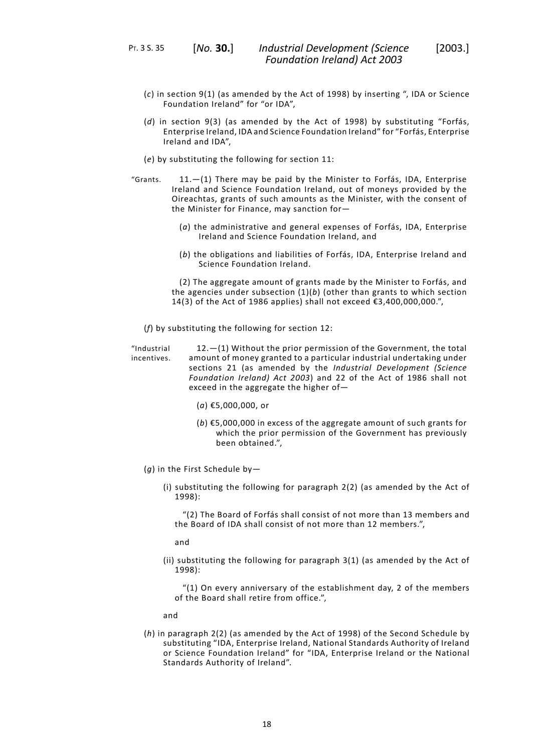PT. 3 S. 35 [*No.* **30.**]

- (*c*) in section 9(1) (as amended by the Act of 1998) by inserting ", IDA or Science Foundation Ireland" for "or IDA",
- (*d*) in section 9(3) (as amended by the Act of 1998) by substituting "Forfás, Enterprise Ireland, IDA and Science Foundation Ireland" for "Forfás, Enterprise Ireland and IDA",
- (*e*) by substituting the following for section 11:
- 11.—(1) There may be paid by the Minister to Forfás, IDA, Enterprise Ireland and Science Foundation Ireland, out of moneys provided by the "Grants. Oireachtas, grants of such amounts as the Minister, with the consent of the Minister for Finance, may sanction for—
	- (*a*) the administrative and general expenses of Forfás, IDA, Enterprise Ireland and Science Foundation Ireland, and
	- (*b*) the obligations and liabilities of Forfás, IDA, Enterprise Ireland and Science Foundation Ireland.

(2) The aggregate amount of grants made by the Minister to Forfás, and the agencies under subsection (1)(*b*) (other than grants to which section 14(3) of the Act of 1986 applies) shall not exceed  $€3,400,000,000."$ ,

(*f*) by substituting the following for section 12:

12.—(1) Without the prior permission of the Government, the total amount of money granted to a particular industrial undertaking under "Industrial incentives. sections 21 (as amended by the *Industrial Development (Science Foundation Ireland) Act 2003*) and 22 of the Act of 1986 shall not exceed in the aggregate the higher of—

- (*a*) €5,000,000, or
- (*b*) €5,000,000 in excess of the aggregate amount of such grants for which the prior permission of the Government has previously been obtained.",
- (*g*) in the First Schedule by—
	- (i) substituting the following for paragraph 2(2) (as amended by the Act of 1998):

"(2) The Board of Forfás shall consist of not more than 13 members and the Board of IDA shall consist of not more than 12 members.",

and

(ii) substituting the following for paragraph 3(1) (as amended by the Act of 1998):

"(1) On every anniversary of the establishment day, 2 of the members of the Board shall retire from office.",

and

(*h*) in paragraph 2(2) (as amended by the Act of 1998) of the Second Schedule by substituting "IDA, Enterprise Ireland, National Standards Authority of Ireland or Science Foundation Ireland" for "IDA, Enterprise Ireland or the National Standards Authority of Ireland".